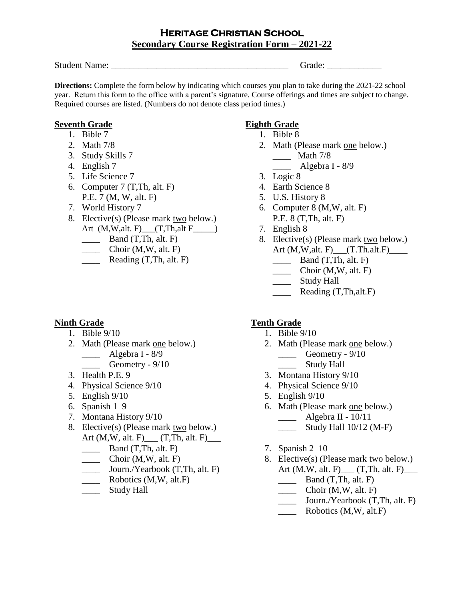## **HERITAGE CHRISTIAN SCHOOL Secondary Course Registration Form – 2021-22**

Student Name: \_\_\_\_\_\_\_\_\_\_\_\_\_\_\_\_\_\_\_\_\_\_\_\_\_\_\_\_\_\_\_\_\_\_\_\_\_\_\_ Grade: \_\_\_\_\_\_\_\_\_\_\_\_

**Directions:** Complete the form below by indicating which courses you plan to take during the 2021-22 school year. Return this form to the office with a parent's signature. Course offerings and times are subject to change. Required courses are listed. (Numbers do not denote class period times.)

### **Seventh Grade**

- 1. Bible 7
- 2. Math 7/8
- 3. Study Skills 7
- 4. English 7
- 5. Life Science 7
- 6. Computer 7 (T,Th, alt. F) P.E. 7 (M, W, alt. F)
- 7. World History 7
- 8. Elective(s) (Please mark two below.) Art (M,W,alt. F)\_\_\_(T,Th,alt F\_\_\_\_\_)
	- $\Box$  Band (T,Th, alt. F)
	- $\frac{\text{Choir } (M, W, \text{alt. } F)}{\text{Choir } (M, W, \text{alt. } F)}$
	- $\frac{\text{Reading (T, Th, alt. F)}}{}$

### **Ninth Grade**

- 1. Bible 9/10
- 2. Math (Please mark one below.)
	- $\frac{\text{Algebra I} 8}{9}$ 
		- Geometry  $9/10$
- 3. Health P.E. 9
- 4. Physical Science 9/10
- 5. English 9/10
- 6. Spanish 1 9
- 7. Montana History 9/10
- 8. Elective(s) (Please mark two below.) Art  $(M,W, alt. F)$  (T, Th, alt. F)
	- $\frac{\ }{\ }$  Band (T, Th, alt. F)
	- $\frac{\text{Choir } (M, W, alt. F)}{\text{Choir } (M, W, alt. F)}$
	- \_\_\_\_ Journ./Yearbook (T,Th, alt. F)
	- \_\_\_\_ Robotics (M,W, alt.F)
	- \_\_\_\_\_\_ Study Hall

# **Eighth Grade**

- 1. Bible 8
- 2. Math (Please mark one below.) \_\_\_\_ Math 7/8 \_\_\_\_ Algebra I - 8/9
- 3. Logic 8
- 4. Earth Science 8
- 5. U.S. History 8
- 6. Computer 8 (M,W, alt. F) P.E. 8 (T,Th, alt. F)
- 7. English 8
- 8. Elective(s) (Please mark two below.) Art (M,W,alt. F) \_\_\_ (T.Th.alt.F) \_\_\_\_\_
	- $\frac{\ }{\ }$  Band (T, Th, alt. F)
	- $\frac{\text{Choir } (M, W, alt. F)}{\text{Choir } (M, W, alt. F)}$
	- \_\_\_\_\_\_ Study Hall
	- **\_\_\_\_\_** Reading (T,Th,alt.F)

# **Tenth Grade**

- 1. Bible 9/10
- 2. Math (Please mark one below.)  $G$ eometry -  $9/10$ \_\_\_\_\_\_\_ Study Hall
- 3. Montana History 9/10
- 4. Physical Science 9/10
- 5. English 9/10
- 6. Math (Please mark one below.)
	- \_\_\_\_ Algebra II 10/11  $\frac{1}{2}$  Study Hall 10/12 (M-F)
- 7. Spanish 2 10
- 8. Elective(s) (Please mark two below.) Art (M,W, alt. F)\_\_\_ (T,Th, alt. F)\_\_\_
	- $\Box$  Band  $(T, Th, alt. F)$
	- \_\_\_\_ Choir (M,W, alt. F)
	- \_\_\_\_ Journ./Yearbook (T,Th, alt. F)
	- $\frac{1}{\sqrt{1-\frac{1}{\sqrt{1-\frac{1}{\sqrt{1-\frac{1}{\sqrt{1-\frac{1}{\sqrt{1-\frac{1}{\sqrt{1-\frac{1}{\sqrt{1-\frac{1}{\sqrt{1-\frac{1}{\sqrt{1-\frac{1}{\sqrt{1-\frac{1}{\sqrt{1-\frac{1}{\sqrt{1-\frac{1}{\sqrt{1-\frac{1}{\sqrt{1-\frac{1}{\sqrt{1-\frac{1}{\sqrt{1-\frac{1}{\sqrt{1-\frac{1}{\sqrt{1-\frac{1}{\sqrt{1-\frac{1}{\sqrt{1-\frac{1}{\sqrt{1-\frac{1}{\sqrt{1-\frac{1}{\sqrt{1-\frac{1}{\sqrt{1-\frac{1$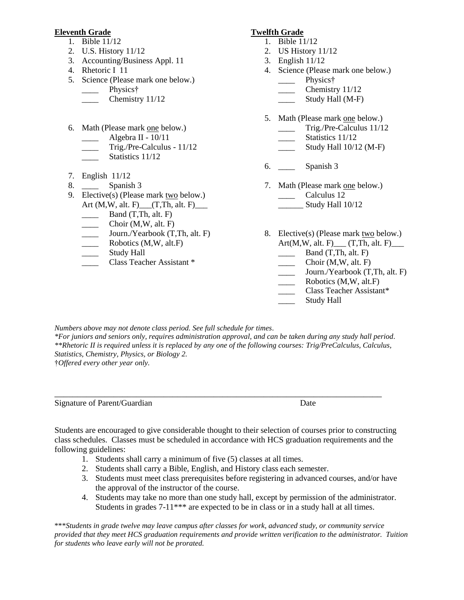#### **Eleventh Grade**

- 1. Bible 11/12
- 2. U.S. History 11/12
- 3. Accounting/Business Appl. 11
- 4. Rhetoric I 11
- 5. Science (Please mark one below.) \_\_\_\_\_\_ Physics†
	- Chemistry 11/12
- 6. Math (Please mark one below.)
	- \_\_\_\_ Algebra II 10/11
	- \_\_\_\_ Trig./Pre-Calculus 11/12
	- Statistics 11/12
- 7. English 11/12
- 8. Spanish 3
- 9. Elective(s) (Please mark two below.) Art (M,W, alt. F)\_\_\_(T,Th, alt. F)\_\_\_
	- $\qquad \qquad$  Band (T,Th, alt. F)
	- $Choir (M,W, alt. F)$
	- Journ./Yearbook (T,Th, alt. F)
	- Robotics (M,W, alt.F)
	- Study Hall
	- Class Teacher Assistant \*

#### **Twelfth Grade**

- 1. Bible 11/12
- 2. US History 11/12
- 3. English 11/12
- 4. Science (Please mark one below.) Physics<sup>†</sup>
	- Chemistry 11/12
	- Study Hall (M-F)
- 5. Math (Please mark one below.)
	- \_\_\_\_ Trig./Pre-Calculus 11/12
	- Statistics 11/12
	- $\frac{\text{Study Hall }10}{12 \text{ (M-F)}}$
- 6. \_\_\_\_ Spanish 3
- 7. Math (Please mark one below.) Calculus 12 Study Hall  $10/12$
- 8. Elective(s) (Please mark two below.)  $Art(M,W, alt. F)$  (T, Th, alt. F)
	- $\qquad \qquad$  Band (T, Th, alt. F)
	- Choir (M,W, alt. F)
	- Journ./Yearbook (T,Th, alt. F)
	- Robotics (M,W, alt.F)
	- \_\_\_\_ Class Teacher Assistant\*
	- \_\_\_\_ Study Hall

*Numbers above may not denote class period. See full schedule for times*.

*\*For juniors and seniors only, requires administration approval, and can be taken during any study hall period. \*\*Rhetoric II is required unless it is replaced by any one of the following courses: Trig/PreCalculus, Calculus, Statistics, Chemistry, Physics, or Biology 2.*

\_\_\_\_\_\_\_\_\_\_\_\_\_\_\_\_\_\_\_\_\_\_\_\_\_\_\_\_\_\_\_\_\_\_\_\_\_\_\_\_\_\_\_\_\_\_\_\_\_\_\_\_\_\_\_\_\_\_\_\_\_\_\_\_\_\_\_\_\_\_\_\_

†*Offered every other year only.*

Signature of Parent/Guardian Date

Students are encouraged to give considerable thought to their selection of courses prior to constructing class schedules. Classes must be scheduled in accordance with HCS graduation requirements and the following guidelines:

- 1. Students shall carry a minimum of five (5) classes at all times.
- 2. Students shall carry a Bible, English, and History class each semester.
- 3. Students must meet class prerequisites before registering in advanced courses, and/or have the approval of the instructor of the course.
- 4. Students may take no more than one study hall, except by permission of the administrator. Students in grades 7-11<sup>\*\*\*</sup> are expected to be in class or in a study hall at all times.

\*\*\**Students in grade twelve may leave campus after classes for work, advanced study, or community service provided that they meet HCS graduation requirements and provide written verification to the administrator. Tuition for students who leave early will not be prorated.*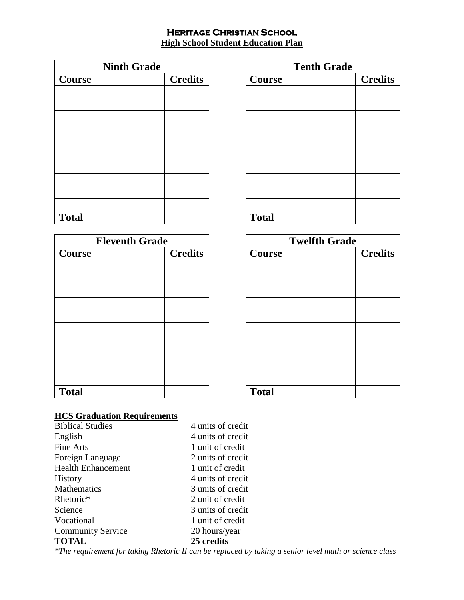### **HERITAGE CHRISTIAN SCHOOL High School Student Education Plan**

| <b>Ninth Grade</b> |                |
|--------------------|----------------|
| <b>Course</b>      | <b>Credits</b> |
|                    |                |
|                    |                |
|                    |                |
|                    |                |
|                    |                |
|                    |                |
|                    |                |
|                    |                |
|                    |                |
|                    |                |
| <b>Total</b>       |                |

| <b>Eleventh Grade</b> |                |  |
|-----------------------|----------------|--|
| Course                | <b>Credits</b> |  |
|                       |                |  |
|                       |                |  |
|                       |                |  |
|                       |                |  |
|                       |                |  |
|                       |                |  |
|                       |                |  |
|                       |                |  |
|                       |                |  |
|                       |                |  |
| <b>Total</b>          |                |  |

| <b>Tenth Grade</b> |                |  |
|--------------------|----------------|--|
| <b>Course</b>      | <b>Credits</b> |  |
|                    |                |  |
|                    |                |  |
|                    |                |  |
|                    |                |  |
|                    |                |  |
|                    |                |  |
|                    |                |  |
|                    |                |  |
|                    |                |  |
|                    |                |  |
| <b>Total</b>       |                |  |

| <b>Twelfth Grade</b> |                |  |
|----------------------|----------------|--|
| <b>Course</b>        | <b>Credits</b> |  |
|                      |                |  |
|                      |                |  |
|                      |                |  |
|                      |                |  |
|                      |                |  |
|                      |                |  |
|                      |                |  |
|                      |                |  |
|                      |                |  |
|                      |                |  |
| <b>Total</b>         |                |  |

# **HCS Graduation Requirements**

| <b>TOTAL</b>              | 25 credits        |
|---------------------------|-------------------|
| <b>Community Service</b>  | 20 hours/year     |
| Vocational                | 1 unit of credit  |
| Science                   | 3 units of credit |
| Rhetoric*                 | 2 unit of credit  |
| Mathematics               | 3 units of credit |
| History                   | 4 units of credit |
| <b>Health Enhancement</b> | 1 unit of credit  |
| Foreign Language          | 2 units of credit |
| Fine Arts                 | 1 unit of credit  |
| English                   | 4 units of credit |
| <b>Biblical Studies</b>   | 4 units of credit |
|                           |                   |

*\*The requirement for taking Rhetoric II can be replaced by taking a senior level math or science class*